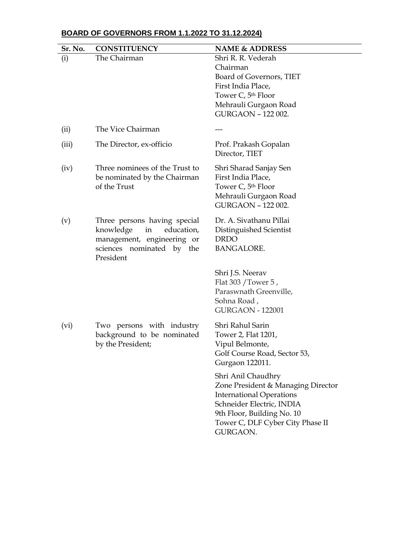|  |  |  | BOARD OF GOVERNORS FROM 1.1.2022 TO 31.12.2024) |  |
|--|--|--|-------------------------------------------------|--|
|--|--|--|-------------------------------------------------|--|

| Sr. No. | <b>CONSTITUENCY</b>                                                                                                                   | <b>NAME &amp; ADDRESS</b>                                                                                                                                                                              |
|---------|---------------------------------------------------------------------------------------------------------------------------------------|--------------------------------------------------------------------------------------------------------------------------------------------------------------------------------------------------------|
| (i)     | The Chairman                                                                                                                          | Shri R. R. Vederah<br>Chairman<br>Board of Governors, TIET<br>First India Place,<br>Tower C, 5th Floor<br>Mehrauli Gurgaon Road<br>GURGAON - 122 002.                                                  |
| (ii)    | The Vice Chairman                                                                                                                     |                                                                                                                                                                                                        |
| (iii)   | The Director, ex-officio                                                                                                              | Prof. Prakash Gopalan<br>Director, TIET                                                                                                                                                                |
| (iv)    | Three nominees of the Trust to<br>be nominated by the Chairman<br>of the Trust                                                        | Shri Sharad Sanjay Sen<br>First India Place,<br>Tower C, 5th Floor<br>Mehrauli Gurgaon Road<br>GURGAON - 122 002.                                                                                      |
| (v)     | Three persons having special<br>knowledge<br>education,<br>in<br>management, engineering or<br>sciences nominated by the<br>President | Dr. A. Sivathanu Pillai<br>Distinguished Scientist<br><b>DRDO</b><br><b>BANGALORE.</b>                                                                                                                 |
|         |                                                                                                                                       | Shri J.S. Neerav<br>Flat 303 / Tower 5,<br>Paraswnath Greenville,<br>Sohna Road,<br><b>GURGAON - 122001</b>                                                                                            |
| (vi)    | Two persons with industry<br>background to be nominated<br>by the President;                                                          | Shri Rahul Sarin<br>Tower 2, Flat 1201,<br>Vipul Belmonte,<br>Golf Course Road, Sector 53,<br>Gurgaon 122011.                                                                                          |
|         |                                                                                                                                       | Shri Anil Chaudhry<br>Zone President & Managing Director<br><b>International Operations</b><br>Schneider Electric, INDIA<br>9th Floor, Building No. 10<br>Tower C, DLF Cyber City Phase II<br>GURGAON. |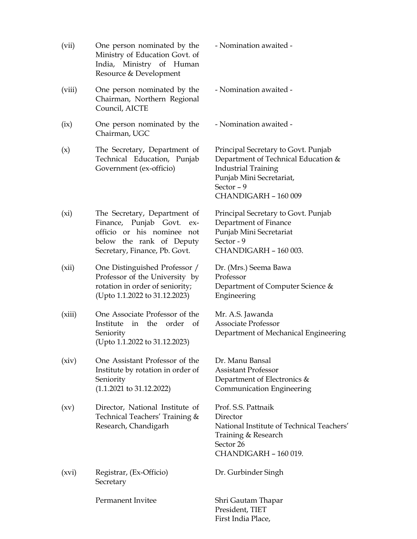(vii) One person nominated by the Ministry of Education Govt. of India, Ministry of Human Resource & Development - Nomination awaited - (viii) One person nominated by the Chairman, Northern Regional Council, AICTE - Nomination awaited - (ix) One person nominated by the Chairman, UGC - Nomination awaited - (x) The Secretary, Department of Technical Education, Punjab Government (ex-officio) Principal Secretary to Govt. Punjab Department of Technical Education & Industrial Training Punjab Mini Secretariat, Sector – 9 CHANDIGARH – 160 009 (xi) The Secretary, Department of Finance, Punjab Govt. exofficio or his nominee not below the rank of Deputy Secretary, Finance, Pb. Govt. Principal Secretary to Govt. Punjab Department of Finance Punjab Mini Secretariat Sector - 9 CHANDIGARH – 160 003. (xii) One Distinguished Professor / Professor of the University by rotation in order of seniority; (Upto 1.1.2022 to 31.12.2023) Dr. (Mrs.) Seema Bawa Professor Department of Computer Science & Engineering (xiii) One Associate Professor of the Institute in the order of Seniority (Upto 1.1.2022 to 31.12.2023) Mr. A.S. Jawanda Associate Professor Department of Mechanical Engineering (xiv) One Assistant Professor of the Institute by rotation in order of Seniority (1.1.2021 to 31.12.2022) Dr. Manu Bansal Assistant Professor Department of Electronics & Communication Engineering (xv) Director, National Institute of Technical Teachers' Training & Research, Chandigarh Prof. S.S. Pattnaik Director National Institute of Technical Teachers' Training & Research Sector 26 CHANDIGARH – 160 019. (xvi) Registrar, (Ex-Officio) **Secretary** Dr. Gurbinder Singh Permanent Invitee Shri Gautam Thapar President, TIET

First India Place,